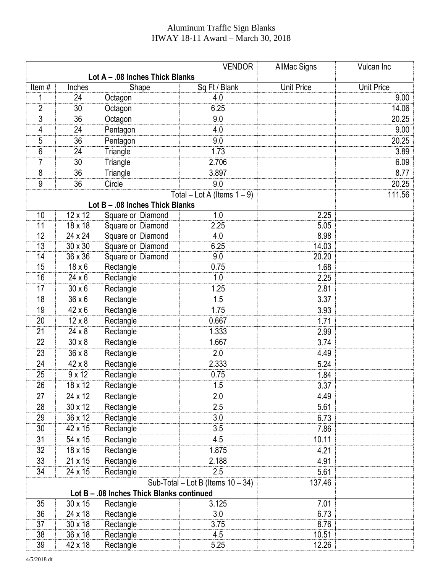## Aluminum Traffic Sign Blanks HWAY 18-11 Award – March 30, 2018

|                                           |                |                                      | <b>VENDOR</b> | <b>AllMac Signs</b> | Vulcan Inc        |  |  |  |
|-------------------------------------------|----------------|--------------------------------------|---------------|---------------------|-------------------|--|--|--|
|                                           |                | Lot A - .08 Inches Thick Blanks      |               |                     |                   |  |  |  |
| Item#                                     | Inches         | Shape                                | Sq Ft / Blank | <b>Unit Price</b>   | <b>Unit Price</b> |  |  |  |
| 1                                         | 24             | Octagon                              | 4.0           |                     | 9.00              |  |  |  |
| $\overline{2}$                            | 30             | Octagon                              | 6.25          |                     | 14.06             |  |  |  |
| 3                                         | 36             | Octagon                              | 9.0           |                     | 20.25             |  |  |  |
| 4                                         | 24             | Pentagon                             | 4.0           |                     | 9.00              |  |  |  |
| 5                                         | 36             | Pentagon                             | 9.0           |                     | 20.25             |  |  |  |
| 6                                         | 24             | Triangle                             | 1.73          |                     | 3.89              |  |  |  |
| 7                                         | 30             | Triangle                             | 2.706         |                     | 6.09              |  |  |  |
| 8                                         | 36             | Triangle                             | 3.897         |                     | 8.77              |  |  |  |
| 9                                         | 36             | Circle                               | 9.0           |                     | 20.25             |  |  |  |
|                                           |                | 111.56                               |               |                     |                   |  |  |  |
|                                           |                | Lot B - .08 Inches Thick Blanks      |               |                     |                   |  |  |  |
| 10                                        | 12 x 12        | Square or Diamond                    | 1.0           | 2.25                |                   |  |  |  |
| 11                                        | 18 x 18        | Square or Diamond                    | 2.25          | 5.05                |                   |  |  |  |
| 12                                        | 24 x 24        | Square or Diamond                    | 4.0           | 8.98                |                   |  |  |  |
| 13                                        | 30 x 30        | Square or Diamond                    | 6.25          | 14.03               |                   |  |  |  |
| 14                                        | 36 x 36        | Square or Diamond                    | 9.0           | 20.20               |                   |  |  |  |
| 15                                        | $18 \times 6$  | Rectangle                            | 0.75          | 1.68                |                   |  |  |  |
| 16                                        | $24 \times 6$  | Rectangle                            | 1.0           | 2.25                |                   |  |  |  |
| 17                                        | $30 \times 6$  | Rectangle                            | 1.25          | 2.81                |                   |  |  |  |
| 18                                        | $36 \times 6$  | Rectangle                            | 1.5           | 3.37                |                   |  |  |  |
| 19                                        | $42 \times 6$  | Rectangle                            | 1.75          | 3.93                |                   |  |  |  |
| 20                                        | $12 \times 8$  | Rectangle                            | 0.667         | 1.71                |                   |  |  |  |
| 21                                        | $24 \times 8$  | Rectangle                            | 1.333         | 2.99                |                   |  |  |  |
| 22                                        | $30 \times 8$  | Rectangle                            | 1.667         | 3.74                |                   |  |  |  |
| 23                                        | $36 \times 8$  | Rectangle                            | 2.0           | 4.49                |                   |  |  |  |
| 24                                        | 42 x 8         | Rectangle                            | 2.333         | 5.24                |                   |  |  |  |
| 25                                        | $9 \times 12$  | Rectangle                            | 0.75          | 1.84                |                   |  |  |  |
| 26                                        | 18 x 12        | Rectangle                            | 1.5           | 3.37                |                   |  |  |  |
| 27                                        | 24 x 12        | Rectangle                            | 2.0           | 4.49                |                   |  |  |  |
| 28                                        | 30 x 12        | Rectangle                            | 2.5           | 5.61                |                   |  |  |  |
| 29                                        | 36 x 12        | Rectangle                            | 3.0           | 6.73                |                   |  |  |  |
| 30                                        | 42 x 15        | Rectangle                            | 3.5           | 7.86                |                   |  |  |  |
| 31                                        | 54 x 15        | Rectangle                            | 4.5           | 10.11               |                   |  |  |  |
| 32                                        | 18 x 15        | Rectangle                            | 1.875         | 4.21                |                   |  |  |  |
| 33                                        | 21 x 15        | Rectangle                            | 2.188         | 4.91                |                   |  |  |  |
| 34                                        | 24 x 15        | Rectangle                            | 2.5           | 5.61                |                   |  |  |  |
|                                           |                | Sub-Total – Lot B (Items $10 - 34$ ) | 137.46        |                     |                   |  |  |  |
| Lot B - .08 Inches Thick Blanks continued |                |                                      |               |                     |                   |  |  |  |
| 35                                        | 30 x 15        | Rectangle                            | 3.125         | 7.01                |                   |  |  |  |
| 36                                        | 24 x 18        | Rectangle                            | 3.0           | 6.73                |                   |  |  |  |
| 37                                        | $30 \times 18$ | Rectangle                            | 3.75          | 8.76                |                   |  |  |  |
| 38                                        | 36 x 18        | Rectangle                            | 4.5           | 10.51               |                   |  |  |  |
| 39                                        | 42 x 18        | Rectangle                            | 5.25          | 12.26               |                   |  |  |  |